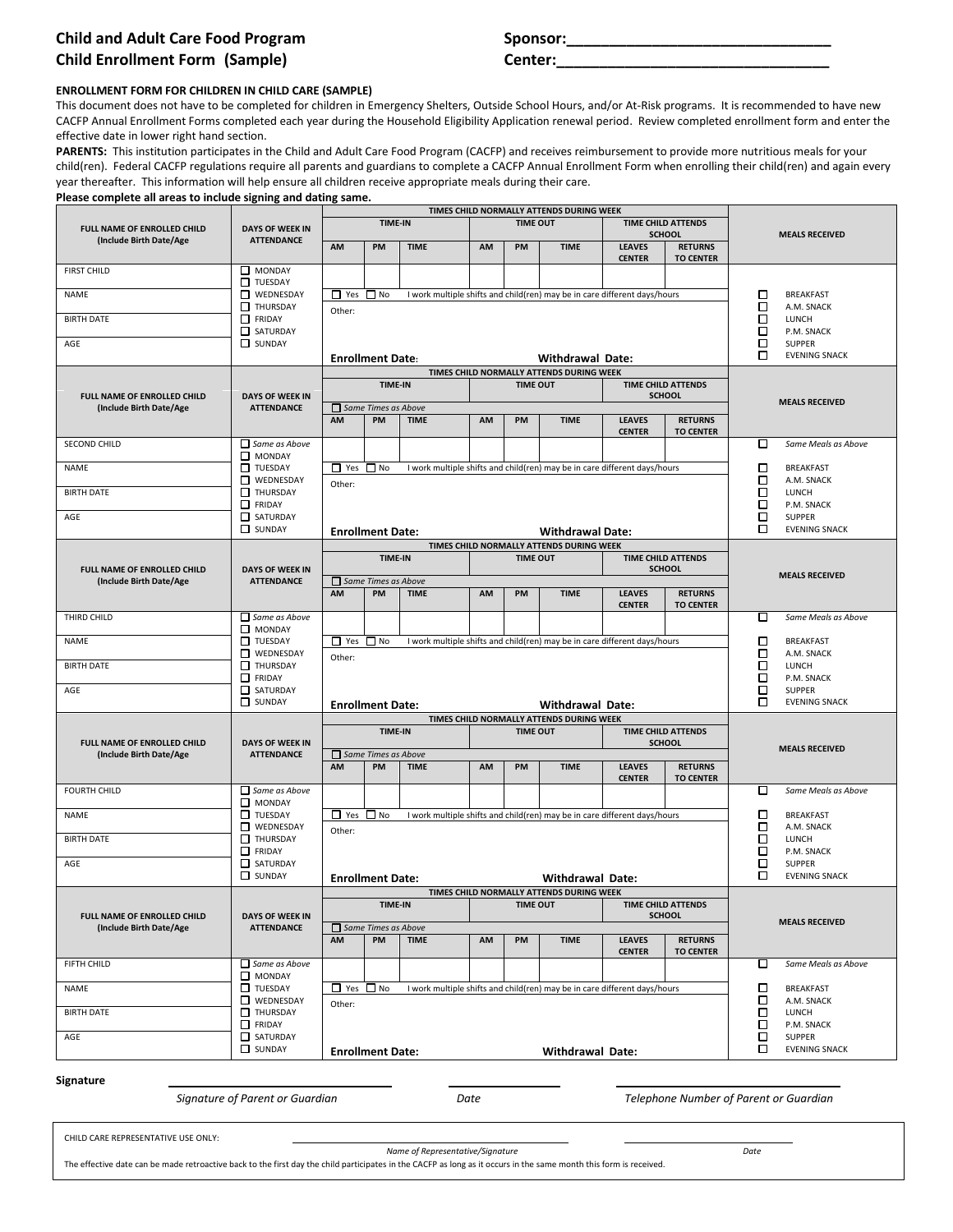## **Child and Adult Care Food Program Child Enrollment Form (Sample) <b>Center:**

| Sponsor: |
|----------|
|          |

## **ENROLLMENT FORM FOR CHILDREN IN CHILD CARE (SAMPLE)**

This document does not have to be completed for children in Emergency Shelters, Outside School Hours, and/or At-Risk programs. It is recommended to have new CACFP Annual Enrollment Forms completed each year during the Household Eligibility Application renewal period. Review completed enrollment form and enter the effective date in lower right hand section.

PARENTS: This institution participates in the Child and Adult Care Food Program (CACFP) and receives reimbursement to provide more nutritious meals for your child(ren). Federal CACFP regulations require all parents and guardians to complete a CACFP Annual Enrollment Form when enrolling their child(ren) and again every year thereafter. This information will help ensure all children receive appropriate meals during their care.

| Please complete all areas to include signing and dating same. |                                             |                      |                                  |             |           |                 |                                                                     |                                                                           |                                            |                                                                           |  |
|---------------------------------------------------------------|---------------------------------------------|----------------------|----------------------------------|-------------|-----------|-----------------|---------------------------------------------------------------------|---------------------------------------------------------------------------|--------------------------------------------|---------------------------------------------------------------------------|--|
|                                                               |                                             |                      | TIME-IN                          |             |           | <b>TIME OUT</b> | TIMES CHILD NORMALLY ATTENDS DURING WEEK                            |                                                                           | <b>TIME CHILD ATTENDS</b>                  |                                                                           |  |
| <b>FULL NAME OF ENROLLED CHILD</b><br>(Include Birth Date/Age | <b>DAYS OF WEEK IN</b><br><b>ATTENDANCE</b> | AM                   | PM                               | <b>TIME</b> | AM        | PM              | <b>TIME</b>                                                         | <b>LEAVES</b>                                                             | <b>SCHOOL</b><br><b>RETURNS</b>            | <b>MEALS RECEIVED</b>                                                     |  |
| <b>FIRST CHILD</b>                                            | $\Box$ MONDAY<br>TUESDAY                    |                      |                                  |             |           |                 |                                                                     | <b>CENTER</b>                                                             | <b>TO CENTER</b>                           |                                                                           |  |
| <b>NAME</b>                                                   | WEDNESDAY<br><b>THURSDAY</b>                | $\Box$ Yes $\Box$ No |                                  |             |           |                 |                                                                     | I work multiple shifts and child(ren) may be in care different days/hours |                                            | □<br><b>BREAKFAST</b><br>□<br>A.M. SNACK                                  |  |
| <b>BIRTH DATE</b>                                             | $\Box$ FRIDAY<br>SATURDAY                   | Other:               |                                  |             |           |                 |                                                                     |                                                                           |                                            | □<br>LUNCH<br>□<br>P.M. SNACK                                             |  |
| AGE                                                           | SUNDAY                                      |                      | <b>Enrollment Date:</b>          |             |           |                 | <b>Withdrawal Date:</b>                                             |                                                                           |                                            | □<br><b>SUPPER</b><br>□<br><b>EVENING SNACK</b>                           |  |
|                                                               |                                             |                      |                                  |             |           |                 | TIMES CHILD NORMALLY ATTENDS DURING WEEK                            |                                                                           |                                            |                                                                           |  |
| FULL NAME OF ENROLLED CHILD                                   | <b>DAYS OF WEEK IN</b>                      |                      | <b>TIME-IN</b>                   |             |           | <b>TIME OUT</b> |                                                                     |                                                                           | <b>TIME CHILD ATTENDS</b><br><b>SCHOOL</b> | <b>MEALS RECEIVED</b>                                                     |  |
| (Include Birth Date/Age                                       | <b>ATTENDANCE</b>                           | AM                   | $\Box$ Same Times as Above<br>PM | <b>TIME</b> | AM        | PM              | <b>TIME</b>                                                         | <b>LEAVES</b><br><b>CENTER</b>                                            | <b>RETURNS</b><br><b>TO CENTER</b>         |                                                                           |  |
| <b>SECOND CHILD</b>                                           | $\Box$ Same as Above<br>MONDAY              |                      |                                  |             |           |                 |                                                                     |                                                                           |                                            | Same Meals as Above<br>□                                                  |  |
| <b>NAME</b>                                                   | TUESDAY                                     | $\Box$ Yes $\Box$ No |                                  |             |           |                 |                                                                     | I work multiple shifts and child(ren) may be in care different days/hours |                                            | □<br><b>BREAKFAST</b>                                                     |  |
| <b>BIRTH DATE</b>                                             | WEDNESDAY<br>THURSDAY<br>$\Box$ FRIDAY      | Other:               |                                  |             |           |                 |                                                                     |                                                                           |                                            | □<br>A.M. SNACK<br>□<br>LUNCH<br>□<br>P.M. SNACK                          |  |
| AGE                                                           | SATURDAY                                    |                      |                                  |             |           |                 |                                                                     |                                                                           |                                            | □<br><b>SUPPER</b>                                                        |  |
|                                                               | SUNDAY                                      |                      | <b>Enrollment Date:</b>          |             |           |                 | <b>Withdrawal Date:</b><br>TIMES CHILD NORMALLY ATTENDS DURING WEEK |                                                                           |                                            | □<br><b>EVENING SNACK</b>                                                 |  |
| <b>FULL NAME OF ENROLLED CHILD</b>                            | <b>DAYS OF WEEK IN</b>                      |                      | TIME-IN                          |             |           | <b>TIME OUT</b> |                                                                     |                                                                           | <b>TIME CHILD ATTENDS</b><br><b>SCHOOL</b> |                                                                           |  |
| (Include Birth Date/Age                                       | <b>ATTENDANCE</b>                           |                      | $\Box$ Same Times as Above       |             |           |                 |                                                                     |                                                                           |                                            | <b>MEALS RECEIVED</b>                                                     |  |
|                                                               |                                             | AM                   | PM                               | <b>TIME</b> | <b>AM</b> | PM              | <b>TIME</b>                                                         | <b>LEAVES</b><br><b>CENTER</b>                                            | <b>RETURNS</b><br><b>TO CENTER</b>         |                                                                           |  |
| THIRD CHILD                                                   | $\Box$ Same as Above<br>MONDAY              |                      |                                  |             |           |                 |                                                                     |                                                                           |                                            | Same Meals as Above<br>□                                                  |  |
| <b>NAME</b>                                                   | TUESDAY                                     | $\Box$ Yes $\Box$ No |                                  |             |           |                 |                                                                     | I work multiple shifts and child(ren) may be in care different days/hours |                                            | □<br><b>BREAKFAST</b><br>□<br>A.M. SNACK<br>о<br>LUNCH<br>□<br>P.M. SNACK |  |
| <b>BIRTH DATE</b>                                             | WEDNESDAY<br>THURSDAY<br>$\Box$ FRIDAY      | Other:               |                                  |             |           |                 |                                                                     |                                                                           |                                            |                                                                           |  |
| AGE                                                           | SATURDAY<br>$\Box$ SUNDAY                   |                      | <b>Enrollment Date:</b>          |             |           |                 | <b>Withdrawal Date:</b>                                             |                                                                           |                                            | □<br><b>SUPPER</b><br>□<br><b>EVENING SNACK</b>                           |  |
|                                                               |                                             |                      | TIME-IN                          |             |           | <b>TIME OUT</b> | TIMES CHILD NORMALLY ATTENDS DURING WEEK                            |                                                                           | <b>TIME CHILD ATTENDS</b>                  |                                                                           |  |
| FULL NAME OF ENROLLED CHILD                                   | <b>DAYS OF WEEK IN</b>                      |                      |                                  |             |           |                 |                                                                     |                                                                           | <b>SCHOOL</b>                              | <b>MEALS RECEIVED</b>                                                     |  |
| (Include Birth Date/Age                                       | <b>ATTENDANCE</b>                           | AM                   | $\Box$ Same Times as Above<br>PM | <b>TIME</b> | AM        | PM              | <b>TIME</b>                                                         | <b>LEAVES</b>                                                             | <b>RETURNS</b>                             |                                                                           |  |
|                                                               |                                             |                      |                                  |             |           |                 |                                                                     | <b>CENTER</b>                                                             | <b>TO CENTER</b>                           |                                                                           |  |
| <b>FOURTH CHILD</b>                                           | $\Box$ Same as Above<br>$\Box$ MONDAY       |                      |                                  |             |           |                 |                                                                     |                                                                           |                                            | □<br>Same Meals as Above                                                  |  |
| <b>NAME</b>                                                   | TUESDAY<br>WEDNESDAY                        | □ Yes □ No<br>Other: |                                  |             |           |                 |                                                                     | I work multiple shifts and child(ren) may be in care different days/hours |                                            | □<br><b>BREAKFAST</b><br>□<br>A.M. SNACK                                  |  |
| <b>BIRTH DATE</b>                                             | THURSDAY<br>$\Box$ FRIDAY                   |                      |                                  |             |           |                 |                                                                     |                                                                           |                                            | ◻<br>LUNCH<br>□<br>P.M. SNACK                                             |  |
| AGE                                                           | SATURDAY<br>$\Box$ SUNDAY                   |                      | <b>Enrollment Date:</b>          |             |           |                 | <b>Withdrawal Date:</b>                                             |                                                                           |                                            | □<br><b>SUPPER</b><br>⊓<br><b>EVENING SNACK</b>                           |  |
|                                                               |                                             |                      | TIME-IN                          |             |           | <b>TIME OUT</b> | TIMES CHILD NORMALLY ATTENDS DURING WEEK                            |                                                                           | TIME CHILD ATTENDS                         |                                                                           |  |
| FULL NAME OF ENROLLED CHILD<br>(Include Birth Date/Age        | <b>DAYS OF WEEK IN</b><br><b>ATTENDANCE</b> |                      | $\Box$ Same Times as Above       |             |           |                 |                                                                     |                                                                           | <b>SCHOOL</b>                              | <b>MEALS RECEIVED</b>                                                     |  |
|                                                               |                                             | AM                   | PM                               | <b>TIME</b> | AM        | PM              | <b>TIME</b>                                                         | <b>LEAVES</b><br><b>CENTER</b>                                            | <b>RETURNS</b><br><b>TO CENTER</b>         |                                                                           |  |
| FIFTH CHILD                                                   | $\Box$ Same as Above<br>$\Box$ MONDAY       |                      |                                  |             |           |                 |                                                                     |                                                                           |                                            | □<br>Same Meals as Above                                                  |  |
| <b>NAME</b>                                                   | TUESDAY                                     | $\Box$ Yes $\Box$ No |                                  |             |           |                 |                                                                     | I work multiple shifts and child(ren) may be in care different days/hours |                                            | □<br>BREAKFAST                                                            |  |
| <b>BIRTH DATE</b>                                             | $\Box$ WEDNESDAY<br>THURSDAY                | Other:               |                                  |             |           |                 |                                                                     |                                                                           |                                            | □<br>A.M. SNACK<br>□<br>LUNCH                                             |  |
| AGE                                                           | $\Box$ FRIDAY<br>SATURDAY                   |                      |                                  |             |           |                 |                                                                     |                                                                           |                                            | □<br>P.M. SNACK<br>□<br><b>SUPPER</b>                                     |  |
|                                                               | $\Box$ SUNDAY                               |                      | <b>Enrollment Date:</b>          |             |           |                 | <b>Withdrawal Date:</b>                                             |                                                                           |                                            | ◻<br><b>EVENING SNACK</b>                                                 |  |
|                                                               |                                             |                      |                                  |             |           |                 |                                                                     |                                                                           |                                            |                                                                           |  |

**Signature**

 *Signature of Parent or Guardian Date Telephone Number of Parent or Guardian*

CHILD CARE REPRESENTATIVE USE ONLY:

*Name of Representative/Signature* Date

The effective date can be made retroactive back to the first day the child participates in the CACFP as long as it occurs in the same month this form is received.